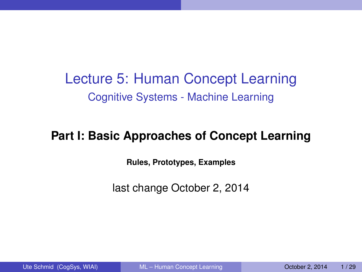Lecture 5: Human Concept Learning Cognitive Systems - Machine Learning

#### **Part I: Basic Approaches of Concept Learning**

<span id="page-0-0"></span>**Rules, Prototypes, Examples**

last change October 2, 2014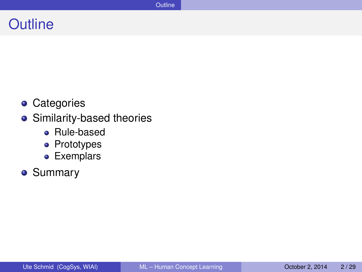#### **Outline**

- **•** Categories
- Similarity-based theories
	- Rule-based
	- Prototypes
	- **•** Exemplars
- Summary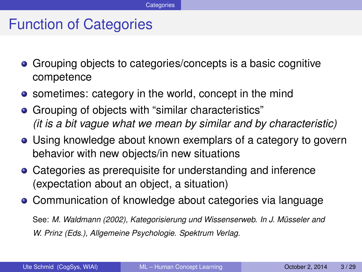#### Function of Categories

- Grouping objects to categories/concepts is a basic cognitive competence
- sometimes: category in the world, concept in the mind
- Grouping of objects with "similar characteristics" *(it is a bit vague what we mean by similar and by characteristic)*
- Using knowledge about known exemplars of a category to govern behavior with new objects/in new situations
- Categories as prerequisite for understanding and inference (expectation about an object, a situation)
- Communication of knowledge about categories via language

See: *M. Waldmann (2002), Kategorisierung und Wissenserweb. In J. Musseler and ¨ W. Prinz (Eds.), Allgemeine Psychologie. Spektrum Verlag.*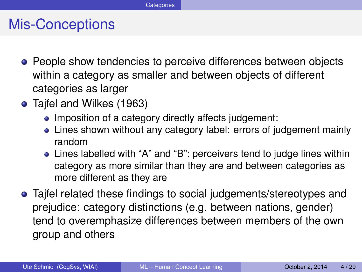#### Mis-Conceptions

- **•** People show tendencies to perceive differences between objects within a category as smaller and between objects of different categories as larger
- Tajfel and Wilkes (1963)
	- Imposition of a category directly affects judgement:
	- Lines shown without any category label: errors of judgement mainly random
	- Lines labelled with "A" and "B": perceivers tend to judge lines within category as more similar than they are and between categories as more different as they are
- Tajfel related these findings to social judgements/stereotypes and prejudice: category distinctions (e.g. between nations, gender) tend to overemphasize differences between members of the own group and others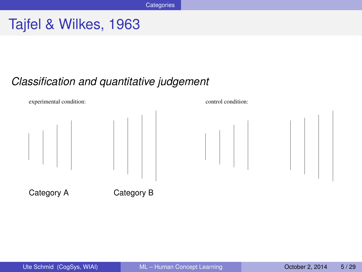# Tajfel & Wilkes, 1963

#### *Classification and quantitative judgement*

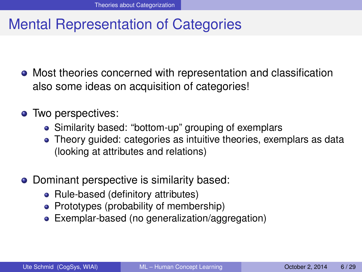# Mental Representation of Categories

- Most theories concerned with representation and classification also some ideas on acquisition of categories!
- Two perspectives:
	- Similarity based: "bottom-up" grouping of exemplars
	- Theory guided: categories as intuitive theories, exemplars as data (looking at attributes and relations)
- Dominant perspective is similarity based:
	- Rule-based (definitory attributes)
	- Prototypes (probability of membership)
	- Exemplar-based (no generalization/aggregation)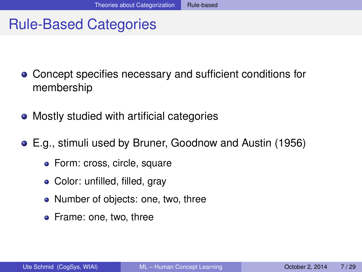# Rule-Based Categories

- Concept specifies necessary and sufficient conditions for membership
- Mostly studied with artificial categories
- E.g., stimuli used by Bruner, Goodnow and Austin (1956)
	- **•** Form: cross, circle, square
	- Color: unfilled, filled, gray
	- Number of objects: one, two, three
	- Frame: one, two, three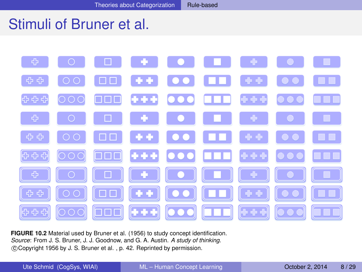## Stimuli of Bruner et al.



**FIGURE 10.2** Material used by Bruner et al. (1956) to study concept identification. *Source*: From J. S. Bruner, J. J. Goodnow, and G. A. Austin. *A study of thinking*. c Copyright 1956 by J. S. Bruner et al. , p. 42. Reprinted by permission.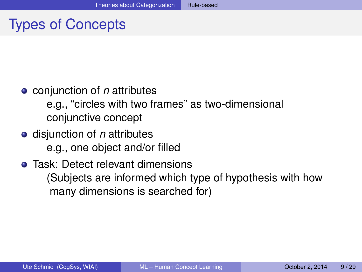# Types of Concepts

conjunction of *n* attributes

e.g., "circles with two frames" as two-dimensional conjunctive concept

**o** disjunction of *n* attributes e.g., one object and/or filled

#### • Task: Detect relevant dimensions (Subjects are informed which type of hypothesis with how many dimensions is searched for)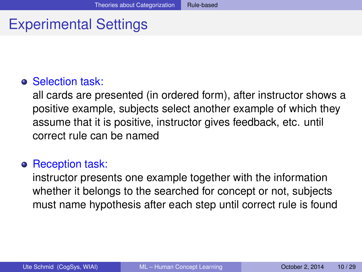# Experimental Settings

#### **o** Selection task:

all cards are presented (in ordered form), after instructor shows a positive example, subjects select another example of which they assume that it is positive, instructor gives feedback, etc. until correct rule can be named

#### **o** Reception task:

instructor presents one example together with the information whether it belongs to the searched for concept or not, subjects must name hypothesis after each step until correct rule is found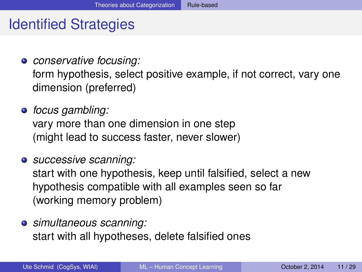# Identified Strategies

- *conservative focusing:* form hypothesis, select positive example, if not correct, vary one dimension (preferred)
- *focus gambling:* vary more than one dimension in one step (might lead to success faster, never slower)
- *successive scanning:* start with one hypothesis, keep until falsified, select a new hypothesis compatible with all examples seen so far (working memory problem)
- *simultaneous scanning:* start with all hypotheses, delete falsified ones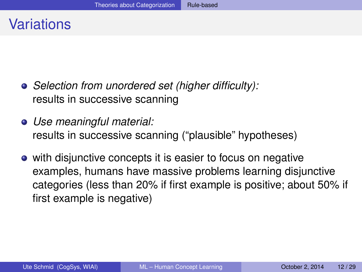- *Selection from unordered set (higher difficulty):* results in successive scanning
- *Use meaningful material:* results in successive scanning ("plausible" hypotheses)
- with disjunctive concepts it is easier to focus on negative examples, humans have massive problems learning disjunctive categories (less than 20% if first example is positive; about 50% if first example is negative)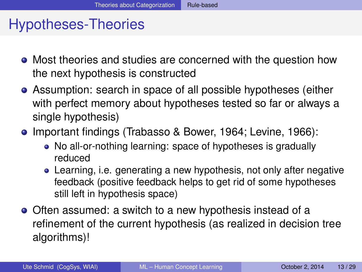# Hypotheses-Theories

- Most theories and studies are concerned with the question how the next hypothesis is constructed
- Assumption: search in space of all possible hypotheses (either with perfect memory about hypotheses tested so far or always a single hypothesis)
- Important findings (Trabasso & Bower, 1964; Levine, 1966):
	- No all-or-nothing learning: space of hypotheses is gradually reduced
	- Learning, i.e. generating a new hypothesis, not only after negative feedback (positive feedback helps to get rid of some hypotheses still left in hypothesis space)
- Often assumed: a switch to a new hypothesis instead of a refinement of the current hypothesis (as realized in decision tree algorithms)!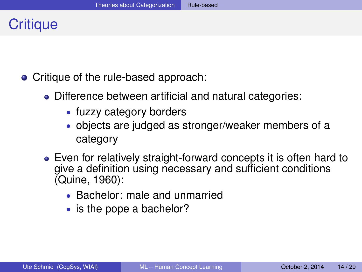## **Critique**

- Critique of the rule-based approach:
	- Difference between artificial and natural categories:
		- fuzzy category borders
		- objects are judged as stronger/weaker members of a category
	- Even for relatively straight-forward concepts it is often hard to give a definition using necessary and sufficient conditions (Quine, 1960):
		- Bachelor: male and unmarried
		- is the pope a bachelor?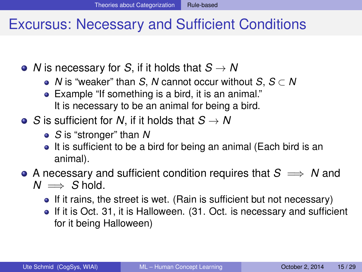#### Excursus: Necessary and Sufficient Conditions

• *N* is necessary for *S*, if it holds that  $S \rightarrow N$ 

- *N* is "weaker" than *S*, *N* cannot occur without *S*, *S* ⊂ *N*
- Example "If something is a bird, it is an animal." It is necessary to be an animal for being a bird.
- $\bullet$  *S* is sufficient for *N*, if it holds that  $S \to N$ 
	- *S* is "stronger" than *N*
	- It is sufficient to be a bird for being an animal (Each bird is an animal).
- A necessary and sufficient condition requires that  $S \implies N$  and  $N \implies S$  hold.
	- If it rains, the street is wet. (Rain is sufficient but not necessary)
	- If it is Oct. 31, it is Halloween. (31. Oct. is necessary and sufficient for it being Halloween)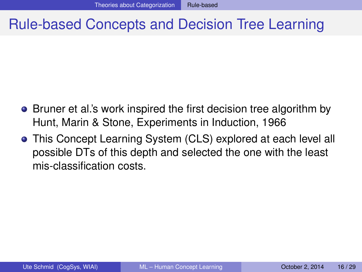## Rule-based Concepts and Decision Tree Learning

- Bruner et al.'s work inspired the first decision tree algorithm by Hunt, Marin & Stone, Experiments in Induction, 1966
- This Concept Learning System (CLS) explored at each level all possible DTs of this depth and selected the one with the least mis-classification costs.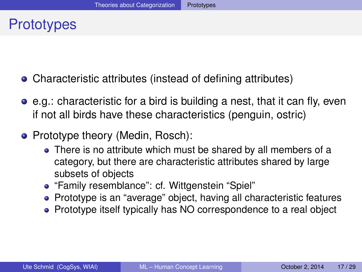## **Prototypes**

- Characteristic attributes (instead of defining attributes)
- e.g.: characteristic for a bird is building a nest, that it can fly, even if not all birds have these characteristics (penguin, ostric)
- Prototype theory (Medin, Rosch):
	- There is no attribute which must be shared by all members of a category, but there are characteristic attributes shared by large subsets of objects
	- "Family resemblance": cf. Wittgenstein "Spiel"
	- Prototype is an "average" object, having all characteristic features
	- Prototype itself typically has NO correspondence to a real object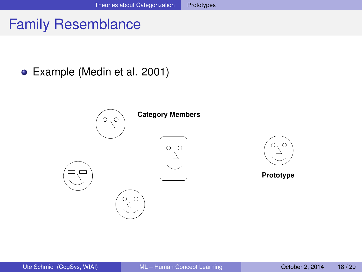# Family Resemblance

Example (Medin et al. 2001)

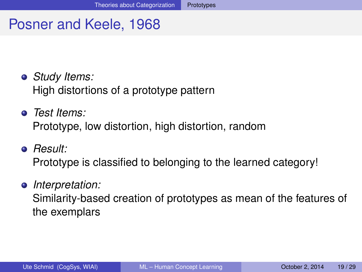## Posner and Keele, 1968

- *Study Items:* High distortions of a prototype pattern
- *Test Items:* Prototype, low distortion, high distortion, random
- *Result:*

Prototype is classified to belonging to the learned category!

# *Interpretation:*

Similarity-based creation of prototypes as mean of the features of the exemplars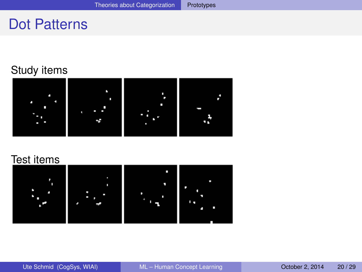#### Dot Patterns

#### Study items



#### Test items

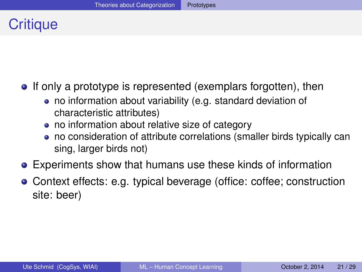# **Critique**

- **If only a prototype is represented (exemplars forgotten), then** 
	- no information about variability (e.g. standard deviation of characteristic attributes)
	- no information about relative size of category
	- no consideration of attribute correlations (smaller birds typically can sing, larger birds not)
- Experiments show that humans use these kinds of information
- Context effects: e.g. typical beverage (office: coffee; construction site: beer)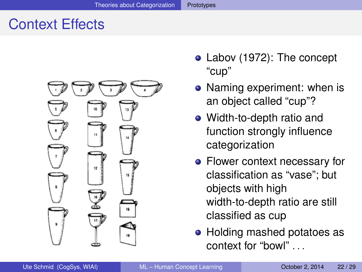# Context Effects



- Labov (1972): The concept "cup"
- Naming experiment: when is an object called "cup"?
- Width-to-depth ratio and function strongly influence categorization
- Flower context necessary for classification as "vase"; but objects with high width-to-depth ratio are still classified as cup
- Holding mashed potatoes as context for "bowl" . . .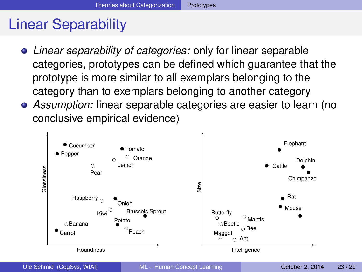# Linear Separability

- *Linear separability of categories:* only for linear separable categories, prototypes can be defined which guarantee that the prototype is more similar to all exemplars belonging to the category than to exemplars belonging to another category
- *Assumption:* linear separable categories are easier to learn (no conclusive empirical evidence)

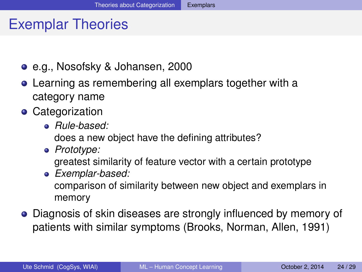## Exemplar Theories

- e.g., Nosofsky & Johansen, 2000
- Learning as remembering all exemplars together with a category name
- **•** Categorization
	- *Rule-based:*

does a new object have the defining attributes?

*Prototype:*

greatest similarity of feature vector with a certain prototype

- *Exemplar-based:* comparison of similarity between new object and exemplars in memory
- Diagnosis of skin diseases are strongly influenced by memory of patients with similar symptoms (Brooks, Norman, Allen, 1991)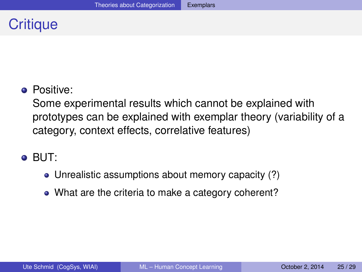# **Critique**

#### **•** Positive:

Some experimental results which cannot be explained with prototypes can be explained with exemplar theory (variability of a category, context effects, correlative features)

#### BUT:

- Unrealistic assumptions about memory capacity (?)
- What are the criteria to make a category coherent?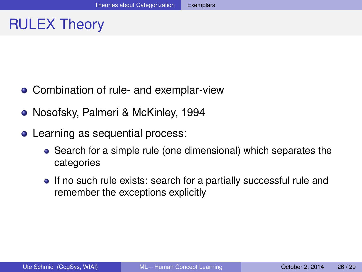# RULEX Theory

- Combination of rule- and exemplar-view
- Nosofsky, Palmeri & McKinley, 1994
- Learning as sequential process:
	- Search for a simple rule (one dimensional) which separates the categories
	- If no such rule exists: search for a partially successful rule and remember the exceptions explicitly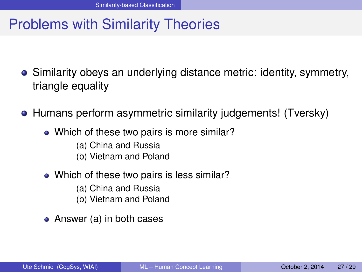# Problems with Similarity Theories

- Similarity obeys an underlying distance metric: identity, symmetry, triangle equality
- Humans perform asymmetric similarity judgements! (Tversky)
	- Which of these two pairs is more similar?
		- (a) China and Russia
		- (b) Vietnam and Poland
	- Which of these two pairs is less similar?
		- (a) China and Russia
		- (b) Vietnam and Poland
	- Answer (a) in both cases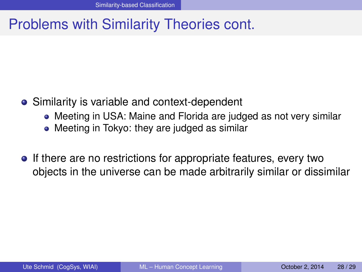## Problems with Similarity Theories cont.

- Similarity is variable and context-dependent
	- Meeting in USA: Maine and Florida are judged as not very similar
	- Meeting in Tokyo: they are judged as similar
- **If there are no restrictions for appropriate features, every two** objects in the universe can be made arbitrarily similar or dissimilar